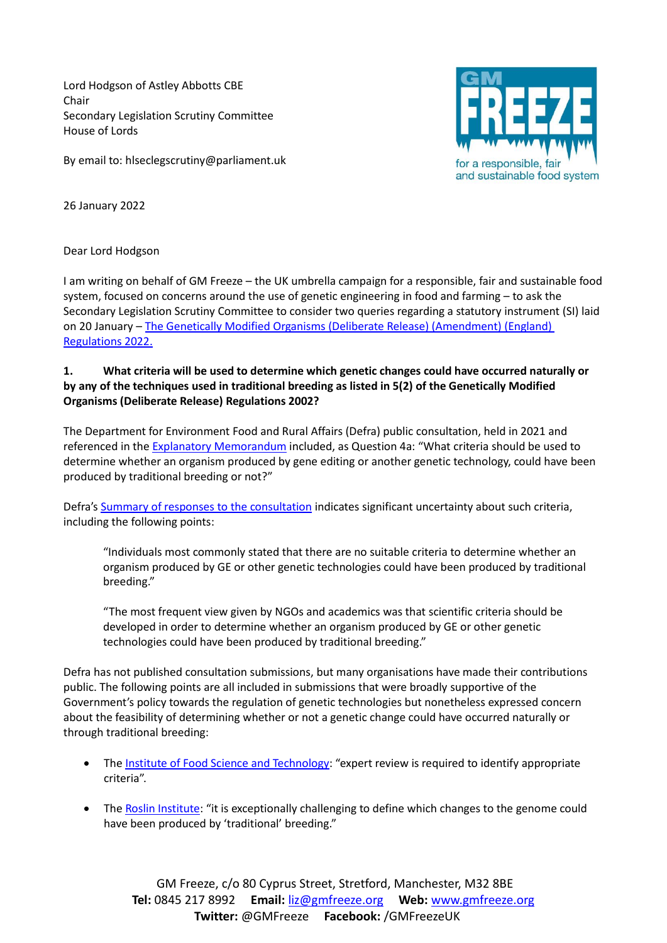Lord Hodgson of Astley Abbotts CBE Chair Secondary Legislation Scrutiny Committee House of Lords

By email to: hlseclegscrutiny@parliament.uk



26 January 2022

## Dear Lord Hodgson

I am writing on behalf of GM Freeze – the UK umbrella campaign for a responsible, fair and sustainable food system, focused on concerns around the use of genetic engineering in food and farming – to ask the Secondary Legislation Scrutiny Committee to consider two queries regarding a statutory instrument (SI) laid on 20 January – [The Genetically Modified Organisms \(Deliberate Release\) \(Amendment\) \(England\)](https://www.legislation.gov.uk/ukdsi/2022/9780348231328)  [Regulations 2022.](https://www.legislation.gov.uk/ukdsi/2022/9780348231328)

## **1. What criteria will be used to determine which genetic changes could have occurred naturally or by any of the techniques used in traditional breeding as listed in 5(2) of the Genetically Modified Organisms (Deliberate Release) Regulations 2002?**

The Department for Environment Food and Rural Affairs (Defra) public consultation, held in 2021 and referenced in the [Explanatory Memorandum](https://www.legislation.gov.uk/ukdsi/2022/9780348231328/pdfs/ukdsiem_9780348231328_en.pdf) included, as Question 4a: "What criteria should be used to determine whether an organism produced by gene editing or another genetic technology, could have been produced by traditional breeding or not?"

Defra's [Summary of responses to the consultation](https://assets.publishing.service.gov.uk/government/uploads/system/uploads/attachment_data/file/1021309/genetic-technologies-regulation-summary-of-responses.pdf) indicates significant uncertainty about such criteria, including the following points:

"Individuals most commonly stated that there are no suitable criteria to determine whether an organism produced by GE or other genetic technologies could have been produced by traditional breeding."

"The most frequent view given by NGOs and academics was that scientific criteria should be developed in order to determine whether an organism produced by GE or other genetic technologies could have been produced by traditional breeding."

Defra has not published consultation submissions, but many organisations have made their contributions public. The following points are all included in submissions that were broadly supportive of the Government's policy towards the regulation of genetic technologies but nonetheless expressed concern about the feasibility of determining whether or not a genetic change could have occurred naturally or through traditional breeding:

- The [Institute of Food Science and Technology:](https://www.ifst.org/sites/default/files/IFST%20Reponse%20to%20Defra%20Consultation%20Regulation%20of%20genetic%20technologies%2017%20March%202021.pdf) "expert review is required to identify appropriate criteria".
- The [Roslin Institute:](https://www.ed.ac.uk/roslin/research/roslin-response-uk-gov-consultation-gene-editing) "it is exceptionally challenging to define which changes to the genome could have been produced by 'traditional' breeding."

GM Freeze, c/o 80 Cyprus Street, Stretford, Manchester, M32 8BE **Tel:** 0845 217 8992 **Email:** [liz@gmfreeze.org](mailto:liz@gmfreeze.org) **Web:** [www.gmfreeze.org](http://www.gmfreeze.org/) **Twitter:** @GMFreeze **Facebook:** /GMFreezeUK